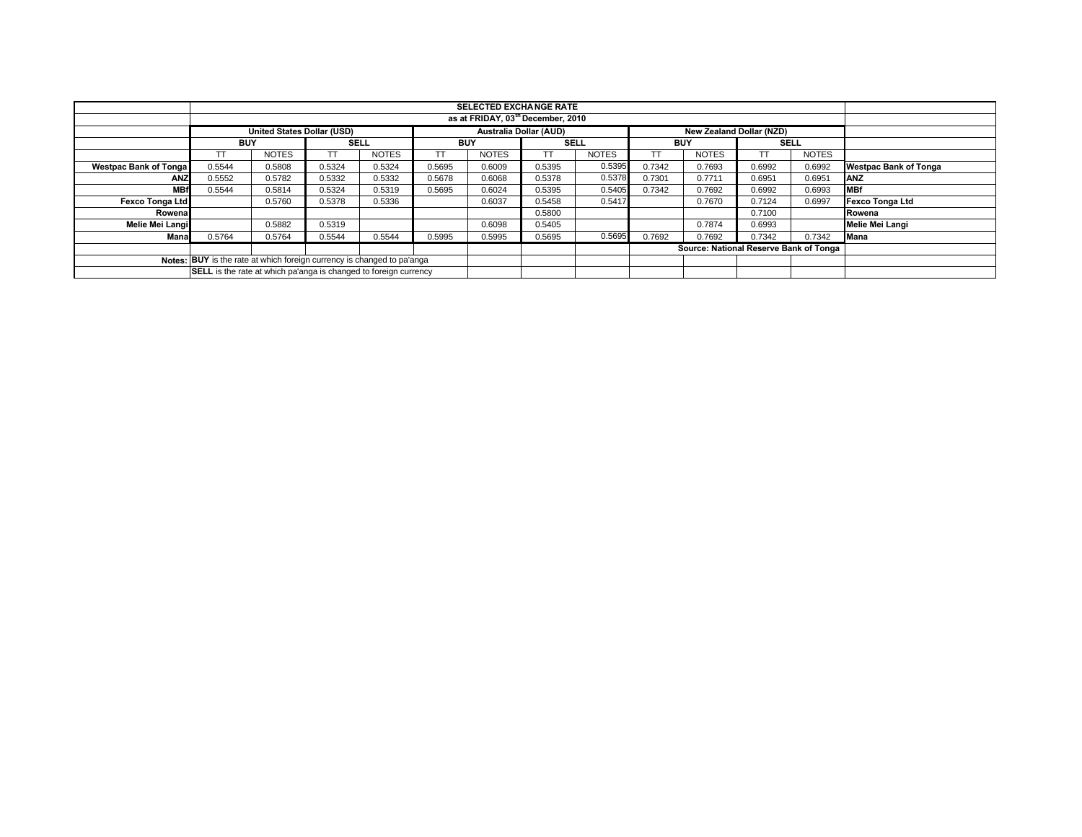|                                                                        |                                                                  | <b>SELECTED EXCHANGE RATE</b> |             |              |            |              |                               |              |            |                                        |             |              |                              |
|------------------------------------------------------------------------|------------------------------------------------------------------|-------------------------------|-------------|--------------|------------|--------------|-------------------------------|--------------|------------|----------------------------------------|-------------|--------------|------------------------------|
|                                                                        | as at FRIDAY, 03 <sup>th</sup> December, 2010                    |                               |             |              |            |              |                               |              |            |                                        |             |              |                              |
|                                                                        | <b>United States Dollar (USD)</b>                                |                               |             |              |            |              | <b>Australia Dollar (AUD)</b> |              |            | <b>New Zealand Dollar (NZD)</b>        |             |              |                              |
|                                                                        | <b>BUY</b>                                                       |                               | <b>SELL</b> |              | <b>BUY</b> |              | <b>SELL</b>                   |              | <b>BUY</b> |                                        | <b>SELL</b> |              |                              |
|                                                                        |                                                                  | <b>NOTES</b>                  |             | <b>NOTES</b> |            | <b>NOTES</b> | тт                            | <b>NOTES</b> |            | <b>NOTES</b>                           |             | <b>NOTES</b> |                              |
| <b>Westpac Bank of Tonga</b>                                           | 0.5544                                                           | 0.5808                        | 0.5324      | 0.5324       | 0.5695     | 0.6009       | 0.5395                        | 0.5395       | 0.7342     | 0.7693                                 | 0.6992      | 0.6992       | <b>Westpac Bank of Tonga</b> |
| <b>ANZ</b>                                                             | 0.5552                                                           | 0.5782                        | 0.5332      | 0.5332       | 0.5678     | 0.6068       | 0.5378                        | 0.5378       | 0.7301     | 0.7711                                 | 0.6951      | 0.6951       | <b>ANZ</b>                   |
| <b>MBf</b>                                                             | 0.5544                                                           | 0.5814                        | 0.5324      | 0.5319       | 0.5695     | 0.6024       | 0.5395                        | 0.5405       | 0.7342     | 0.7692                                 | 0.6992      | 0.6993       | <b>IMBf</b>                  |
| <b>Fexco Tonga Ltd</b>                                                 |                                                                  | 0.5760                        | 0.5378      | 0.5336       |            | 0.6037       | 0.5458                        | 0.5417       |            | 0.7670                                 | 0.7124      | 0.6997       | Fexco Tonga Ltd              |
| Rowenal                                                                |                                                                  |                               |             |              |            |              | 0.5800                        |              |            |                                        | 0.7100      |              | Rowena                       |
| Melie Mei Langi                                                        |                                                                  | 0.5882                        | 0.5319      |              |            | 0.6098       | 0.5405                        |              |            | 0.7874                                 | 0.6993      |              | Melie Mei Langi              |
| Mana                                                                   | 0.5764                                                           | 0.5764                        | 0.5544      | 0.5544       | 0.5995     | 0.5995       | 0.5695                        | 0.5695       | 0.7692     | 0.7692                                 | 0.7342      | 0.7342       | <b>Mana</b>                  |
|                                                                        |                                                                  |                               |             |              |            |              |                               |              |            | Source: National Reserve Bank of Tonga |             |              |                              |
| Notes: BUY is the rate at which foreign currency is changed to pa'anga |                                                                  |                               |             |              |            |              |                               |              |            |                                        |             |              |                              |
|                                                                        | SELL is the rate at which pa'anga is changed to foreign currency |                               |             |              |            |              |                               |              |            |                                        |             |              |                              |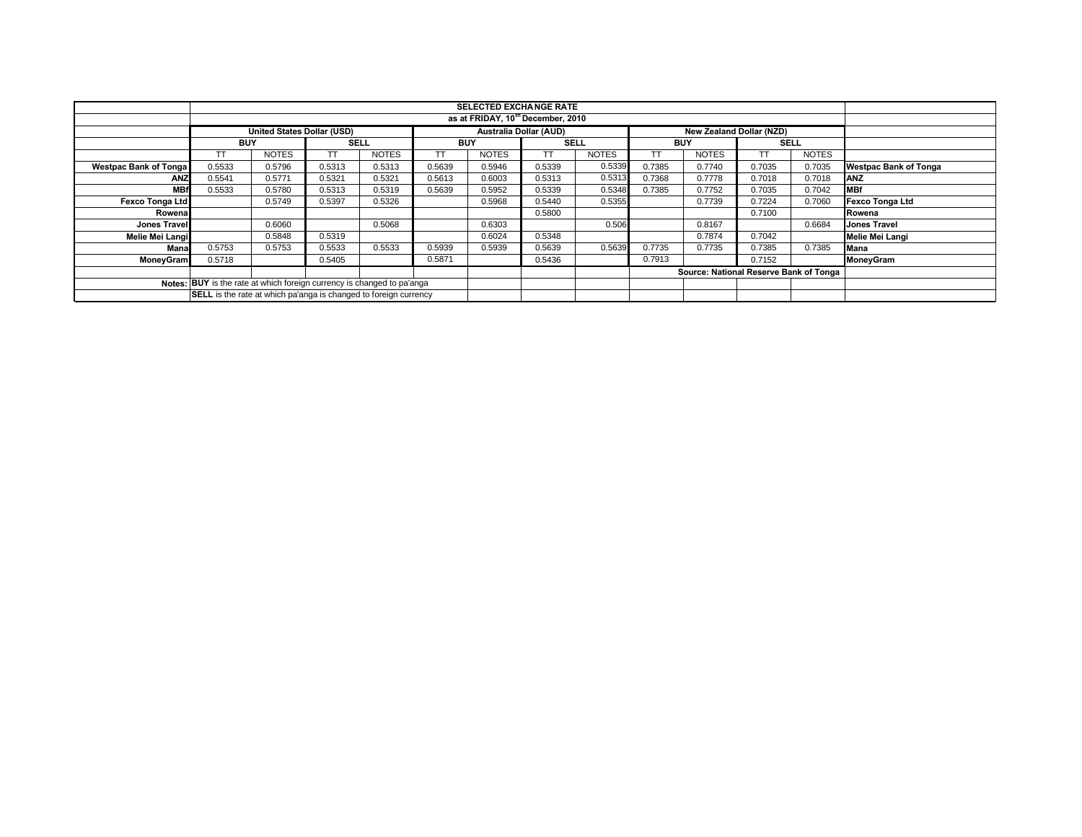|                              |                                                                        |                                   |             |              |            | <b>SELECTED EXCHANGE RATE</b> |             |              |            |                                        |             |              |                              |
|------------------------------|------------------------------------------------------------------------|-----------------------------------|-------------|--------------|------------|-------------------------------|-------------|--------------|------------|----------------------------------------|-------------|--------------|------------------------------|
|                              | as at FRIDAY, 10 <sup>th</sup> December, 2010                          |                                   |             |              |            |                               |             |              |            |                                        |             |              |                              |
|                              |                                                                        | <b>United States Dollar (USD)</b> |             |              |            | <b>Australia Dollar (AUD)</b> |             |              |            | <b>New Zealand Dollar (NZD)</b>        |             |              |                              |
|                              | <b>BUY</b>                                                             |                                   | <b>SELL</b> |              | <b>BUY</b> |                               | <b>SELL</b> |              | <b>BUY</b> |                                        | <b>SELL</b> |              |                              |
|                              |                                                                        | <b>NOTES</b>                      | <b>TT</b>   | <b>NOTES</b> |            | <b>NOTES</b>                  | TΤ          | <b>NOTES</b> |            | <b>NOTES</b>                           |             | <b>NOTES</b> |                              |
| <b>Westpac Bank of Tonga</b> | 0.5533                                                                 | 0.5796                            | 0.5313      | 0.5313       | 0.5639     | 0.5946                        | 0.5339      | 0.5339       | 0.7385     | 0.7740                                 | 0.7035      | 0.7035       | <b>Westpac Bank of Tonga</b> |
| <b>ANZ</b>                   | 0.5541                                                                 | 0.5771                            | 0.5321      | 0.5321       | 0.5613     | 0.6003                        | 0.5313      | 0.5313       | 0.7368     | 0.7778                                 | 0.7018      | 0.7018       | <b>ANZ</b>                   |
| <b>MBf</b>                   | 0.5533                                                                 | 0.5780                            | 0.5313      | 0.5319       | 0.5639     | 0.5952                        | 0.5339      | 0.5348       | 0.7385     | 0.7752                                 | 0.7035      | 0.7042       | <b>MBf</b>                   |
| Fexco Tonga Ltd              |                                                                        | 0.5749                            | 0.5397      | 0.5326       |            | 0.5968                        | 0.5440      | 0.5355       |            | 0.7739                                 | 0.7224      | 0.7060       | <b>Fexco Tonga Ltd</b>       |
| Rowena                       |                                                                        |                                   |             |              |            |                               | 0.5800      |              |            |                                        | 0.7100      |              | Rowena                       |
| <b>Jones Travell</b>         |                                                                        | 0.6060                            |             | 0.5068       |            | 0.6303                        |             | 0.506        |            | 0.8167                                 |             | 0.6684       | <b>Jones Travel</b>          |
| Melie Mei Langi              |                                                                        | 0.5848                            | 0.5319      |              |            | 0.6024                        | 0.5348      |              |            | 0.7874                                 | 0.7042      |              | <b>Melie Mei Langi</b>       |
| Mana                         | 0.5753                                                                 | 0.5753                            | 0.5533      | 0.5533       | 0.5939     | 0.5939                        | 0.5639      | 0.5639       | 0.7735     | 0.7735                                 | 0.7385      | 0.7385       | Mana                         |
| <b>MoneyGram</b>             | 0.5718                                                                 |                                   | 0.5405      |              | 0.5871     |                               | 0.5436      |              | 0.7913     |                                        | 0.7152      |              | <b>MoneyGram</b>             |
|                              |                                                                        |                                   |             |              |            |                               |             |              |            | Source: National Reserve Bank of Tonga |             |              |                              |
|                              | Notes: BUY is the rate at which foreign currency is changed to pa'anga |                                   |             |              |            |                               |             |              |            |                                        |             |              |                              |
|                              | SELL is the rate at which pa'anga is changed to foreign currency       |                                   |             |              |            |                               |             |              |            |                                        |             |              |                              |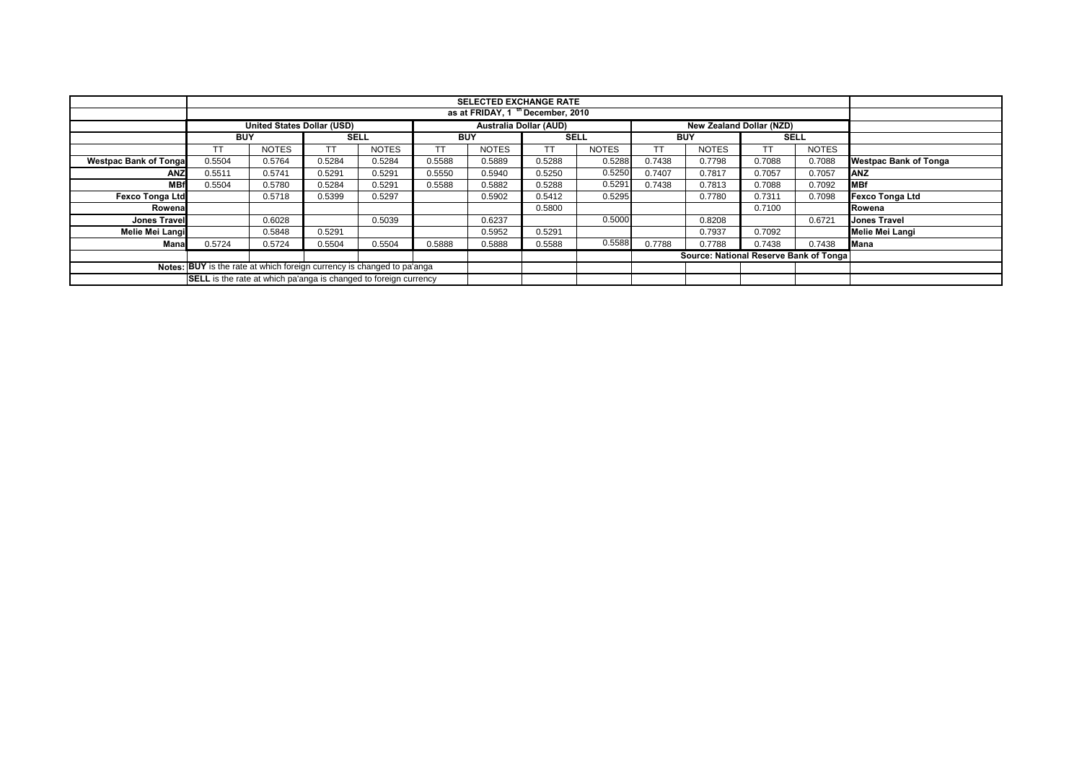|                                                                        |                                                                         |                                   |             |              |            | <b>SELECTED EXCHANGE RATE</b> |                        |              |            |                                        |             |              |                              |
|------------------------------------------------------------------------|-------------------------------------------------------------------------|-----------------------------------|-------------|--------------|------------|-------------------------------|------------------------|--------------|------------|----------------------------------------|-------------|--------------|------------------------------|
|                                                                        |                                                                         | as at FRIDAY, 1 th December, 2010 |             |              |            |                               |                        |              |            |                                        |             |              |                              |
|                                                                        |                                                                         | <b>United States Dollar (USD)</b> |             |              |            |                               | Australia Dollar (AUD) |              |            | <b>New Zealand Dollar (NZD)</b>        |             |              |                              |
|                                                                        | <b>BUY</b>                                                              |                                   | <b>SELL</b> |              | <b>BUY</b> |                               | <b>SELL</b>            |              | <b>BUY</b> |                                        | <b>SELL</b> |              |                              |
|                                                                        | ТT                                                                      | <b>NOTES</b>                      | тт          | <b>NOTES</b> | TT         | <b>NOTES</b>                  | TТ                     | <b>NOTES</b> |            | <b>NOTES</b>                           | тт          | <b>NOTES</b> |                              |
| <b>Westpac Bank of Tongal</b>                                          | 0.5504                                                                  | 0.5764                            | 0.5284      | 0.5284       | 0.5588     | 0.5889                        | 0.5288                 | 0.5288       | 0.7438     | 0.7798                                 | 0.7088      | 0.7088       | <b>Westpac Bank of Tonga</b> |
| <b>ANZ</b>                                                             | 0.5511                                                                  | 0.5741                            | 0.5291      | 0.5291       | 0.5550     | 0.5940                        | 0.5250                 | 0.5250       | 0.7407     | 0.7817                                 | 0.7057      | 0.7057       | <b>JANZ</b>                  |
| <b>MBf</b>                                                             | 0.5504                                                                  | 0.5780                            | 0.5284      | 0.5291       | 0.5588     | 0.5882                        | 0.5288                 | 0.5291       | 0.7438     | 0.7813                                 | 0.7088      | 0.7092       | <b>MBf</b>                   |
| <b>Fexco Tonga Ltd</b>                                                 |                                                                         | 0.5718                            | 0.5399      | 0.5297       |            | 0.5902                        | 0.5412                 | 0.5295       |            | 0.7780                                 | 0.7311      | 0.7098       | <b>Fexco Tonga Ltd</b>       |
| Rowenal                                                                |                                                                         |                                   |             |              |            |                               | 0.5800                 |              |            |                                        | 0.7100      |              | Rowena                       |
| <b>Jones Travel</b>                                                    |                                                                         | 0.6028                            |             | 0.5039       |            | 0.6237                        |                        | 0.5000       |            | 0.8208                                 |             | 0.6721       | <b>Jones Travel</b>          |
| Melie Mei Langi                                                        |                                                                         | 0.5848                            | 0.5291      |              |            | 0.5952                        | 0.5291                 |              |            | 0.7937                                 | 0.7092      |              | Melie Mei Langi              |
| Manal                                                                  | 0.5724                                                                  | 0.5724                            | 0.5504      | 0.5504       | 0.5888     | 0.5888                        | 0.5588                 | 0.5588       | 0.7788     | 0.7788                                 | 0.7438      | 0.7438       | <b>Mana</b>                  |
|                                                                        |                                                                         |                                   |             |              |            |                               |                        |              |            | Source: National Reserve Bank of Tonga |             |              |                              |
| Notes: BUY is the rate at which foreign currency is changed to pa'anga |                                                                         |                                   |             |              |            |                               |                        |              |            |                                        |             |              |                              |
|                                                                        | <b>SELL</b> is the rate at which pa'anga is changed to foreign currency |                                   |             |              |            |                               |                        |              |            |                                        |             |              |                              |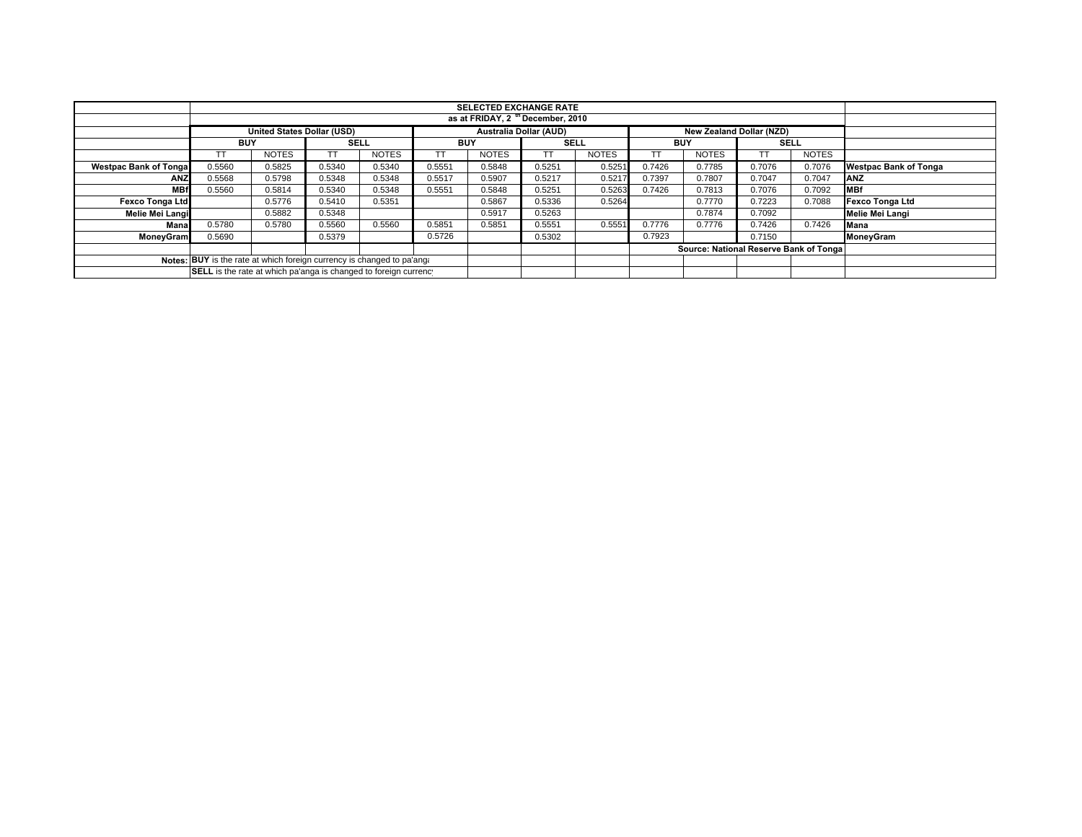|                                                                        | <b>SELECTED EXCHANGE RATE</b>                                    |              |             |              |            |              |                        |              |            |                                         |             |              |                              |
|------------------------------------------------------------------------|------------------------------------------------------------------|--------------|-------------|--------------|------------|--------------|------------------------|--------------|------------|-----------------------------------------|-------------|--------------|------------------------------|
|                                                                        |                                                                  |              |             |              |            |              |                        |              |            |                                         |             |              |                              |
|                                                                        | as at FRIDAY, 2 <sup>th</sup> December, 2010                     |              |             |              |            |              |                        |              |            |                                         |             |              |                              |
|                                                                        | <b>United States Dollar (USD)</b>                                |              |             |              |            |              | Australia Dollar (AUD) |              |            | <b>New Zealand Dollar (NZD)</b>         |             |              |                              |
|                                                                        | <b>BUY</b>                                                       |              | <b>SELL</b> |              | <b>BUY</b> |              | <b>SELL</b>            |              | <b>BUY</b> |                                         | <b>SELL</b> |              |                              |
|                                                                        |                                                                  | <b>NOTES</b> | TT.         | <b>NOTES</b> |            | <b>NOTES</b> |                        | <b>NOTES</b> |            | <b>NOTES</b>                            | TT          | <b>NOTES</b> |                              |
| <b>Westpac Bank of Tonga</b>                                           | 0.5560                                                           | 0.5825       | 0.5340      | 0.5340       | 0.5551     | 0.5848       | 0.5251                 | 0.5251       | 0.7426     | 0.7785                                  | 0.7076      | 0.7076       | <b>Westpac Bank of Tonga</b> |
| <b>ANZ</b>                                                             | 0.5568                                                           | 0.5798       | 0.5348      | 0.5348       | 0.5517     | 0.5907       | 0.5217                 | 0.5217       | 0.7397     | 0.7807                                  | 0.7047      | 0.7047       | <b>ANZ</b>                   |
| <b>MBf</b>                                                             | 0.5560                                                           | 0.5814       | 0.5340      | 0.5348       | 0.5551     | 0.5848       | 0.5251                 | 0.5263       | 0.7426     | 0.7813                                  | 0.7076      | 0.7092       | <b>MBf</b>                   |
| <b>Fexco Tonga Ltd</b>                                                 |                                                                  | 0.5776       | 0.5410      | 0.5351       |            | 0.5867       | 0.5336                 | 0.5264       |            | 0.7770                                  | 0.7223      | 0.7088       | <b>Fexco Tonga Ltd</b>       |
| Melie Mei Langi                                                        |                                                                  | 0.5882       | 0.5348      |              |            | 0.5917       | 0.5263                 |              |            | 0.7874                                  | 0.7092      |              | Melie Mei Langi              |
| Mana                                                                   | 0.5780                                                           | 0.5780       | 0.5560      | 0.5560       | 0.5851     | 0.5851       | 0.5551                 | 0.5551       | 0.7776     | 0.7776                                  | 0.7426      | 0.7426       | Mana                         |
| <b>MoneyGram</b>                                                       | 0.5690                                                           |              | 0.5379      |              | 0.5726     |              | 0.5302                 |              | 0.7923     |                                         | 0.7150      |              | MoneyGram                    |
|                                                                        |                                                                  |              |             |              |            |              |                        |              |            | Source: National Reserve Bank of Tongal |             |              |                              |
| Notes: BUY is the rate at which foreign currency is changed to pa'ang. |                                                                  |              |             |              |            |              |                        |              |            |                                         |             |              |                              |
|                                                                        | SELL is the rate at which pa'anga is changed to foreign currency |              |             |              |            |              |                        |              |            |                                         |             |              |                              |